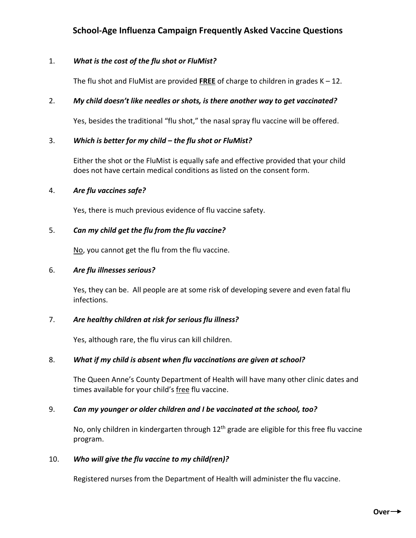# **School-Age Influenza Campaign Frequently Asked Vaccine Questions**

#### 1. *What is the cost of the flu shot or FluMist?*

The flu shot and FluMist are provided **FREE** of charge to children in grades  $K - 12$ .

#### 2. *My child doesn't like needles or shots, is there another way to get vaccinated?*

Yes, besides the traditional "flu shot," the nasal spray flu vaccine will be offered.

#### 3. *Which is better for my child – the flu shot or FluMist?*

Either the shot or the FluMist is equally safe and effective provided that your child does not have certain medical conditions as listed on the consent form.

#### 4. *Are flu vaccines safe?*

Yes, there is much previous evidence of flu vaccine safety.

#### 5. *Can my child get the flu from the flu vaccine?*

No, you cannot get the flu from the flu vaccine.

#### 6. *Are flu illnesses serious?*

Yes, they can be. All people are at some risk of developing severe and even fatal flu infections.

#### 7. *Are healthy children at risk for serious flu illness?*

Yes, although rare, the flu virus can kill children.

#### 8. *What if my child is absent when flu vaccinations are given at school?*

The Queen Anne's County Department of Health will have many other clinic dates and times available for your child's free flu vaccine.

#### 9. *Can my younger or older children and I be vaccinated at the school, too?*

No, only children in kindergarten through 12<sup>th</sup> grade are eligible for this free flu vaccine program.

#### 10. *Who will give the flu vaccine to my child(ren)?*

Registered nurses from the Department of Health will administer the flu vaccine.